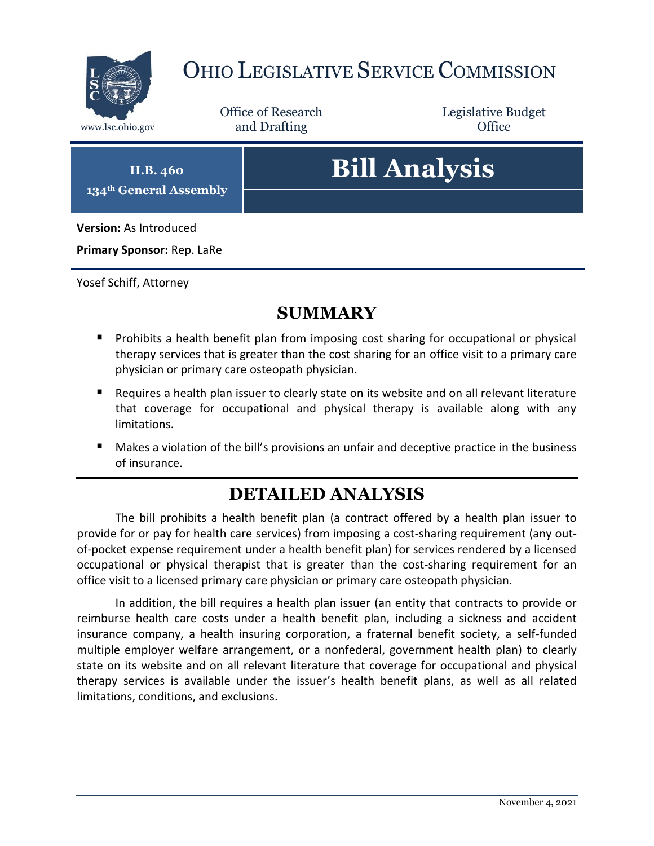

## OHIO LEGISLATIVE SERVICE COMMISSION

Office of Research www.lsc.ohio.gov **and Drafting Office** 

Legislative Budget

**H.B. 460 134th General Assembly**

# **Bill Analysis**

**Version:** As Introduced

**Primary Sponsor:** Rep. LaRe

Yosef Schiff, Attorney

### **SUMMARY**

- **Prohibits a health benefit plan from imposing cost sharing for occupational or physical** therapy services that is greater than the cost sharing for an office visit to a primary care physician or primary care osteopath physician.
- Requires a health plan issuer to clearly state on its website and on all relevant literature that coverage for occupational and physical therapy is available along with any limitations.
- Makes a violation of the bill's provisions an unfair and deceptive practice in the business of insurance.

### **DETAILED ANALYSIS**

The bill prohibits a health benefit plan (a contract offered by a health plan issuer to provide for or pay for health care services) from imposing a cost-sharing requirement (any outof-pocket expense requirement under a health benefit plan) for services rendered by a licensed occupational or physical therapist that is greater than the cost-sharing requirement for an office visit to a licensed primary care physician or primary care osteopath physician.

In addition, the bill requires a health plan issuer (an entity that contracts to provide or reimburse health care costs under a health benefit plan, including a sickness and accident insurance company, a health insuring corporation, a fraternal benefit society, a self-funded multiple employer welfare arrangement, or a nonfederal, government health plan) to clearly state on its website and on all relevant literature that coverage for occupational and physical therapy services is available under the issuer's health benefit plans, as well as all related limitations, conditions, and exclusions.